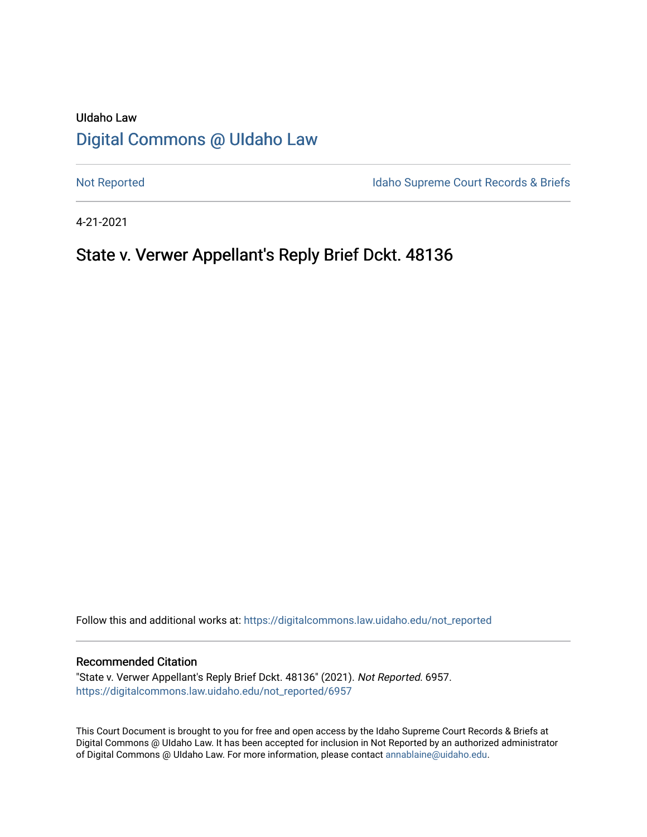## UIdaho Law [Digital Commons @ UIdaho Law](https://digitalcommons.law.uidaho.edu/)

[Not Reported](https://digitalcommons.law.uidaho.edu/not_reported) **Idaho Supreme Court Records & Briefs** 

4-21-2021

## State v. Verwer Appellant's Reply Brief Dckt. 48136

Follow this and additional works at: [https://digitalcommons.law.uidaho.edu/not\\_reported](https://digitalcommons.law.uidaho.edu/not_reported?utm_source=digitalcommons.law.uidaho.edu%2Fnot_reported%2F6957&utm_medium=PDF&utm_campaign=PDFCoverPages) 

#### Recommended Citation

"State v. Verwer Appellant's Reply Brief Dckt. 48136" (2021). Not Reported. 6957. [https://digitalcommons.law.uidaho.edu/not\\_reported/6957](https://digitalcommons.law.uidaho.edu/not_reported/6957?utm_source=digitalcommons.law.uidaho.edu%2Fnot_reported%2F6957&utm_medium=PDF&utm_campaign=PDFCoverPages)

This Court Document is brought to you for free and open access by the Idaho Supreme Court Records & Briefs at Digital Commons @ UIdaho Law. It has been accepted for inclusion in Not Reported by an authorized administrator of Digital Commons @ UIdaho Law. For more information, please contact [annablaine@uidaho.edu](mailto:annablaine@uidaho.edu).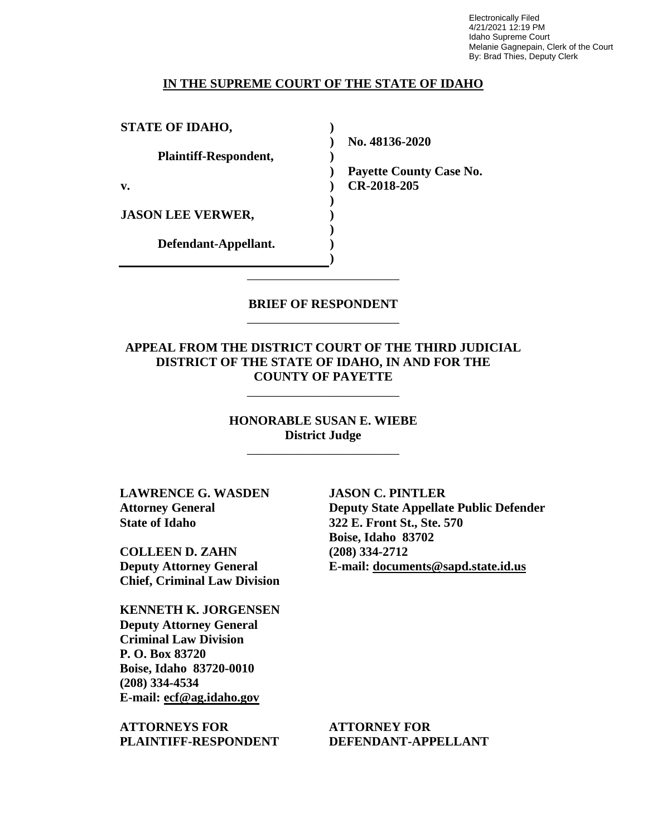Electronically Filed 4/21/2021 12:19 PM Idaho Supreme Court Melanie Gagnepain, Clerk of the Court By: Brad Thies, Deputy Clerk

#### **IN THE SUPREME COURT OF THE STATE OF IDAHO**

**) ) ) ) ) ) ) ) ) )**

**STATE OF IDAHO,**

**Plaintiff-Respondent,**

**v.** 

**JASON LEE VERWER,** 

**Defendant-Appellant.**

**No. 48136-2020** 

**Payette County Case No. CR-2018-205** 

## **BRIEF OF RESPONDENT** \_\_\_\_\_\_\_\_\_\_\_\_\_\_\_\_\_\_\_\_\_\_\_\_

\_\_\_\_\_\_\_\_\_\_\_\_\_\_\_\_\_\_\_\_\_\_\_\_

## **APPEAL FROM THE DISTRICT COURT OF THE THIRD JUDICIAL DISTRICT OF THE STATE OF IDAHO, IN AND FOR THE COUNTY OF PAYETTE**

\_\_\_\_\_\_\_\_\_\_\_\_\_\_\_\_\_\_\_\_\_\_\_\_

## **HONORABLE SUSAN E. WIEBE District Judge**

\_\_\_\_\_\_\_\_\_\_\_\_\_\_\_\_\_\_\_\_\_\_\_\_

**LAWRENCE G. WASDEN Attorney General State of Idaho**

**COLLEEN D. ZAHN Deputy Attorney General Chief, Criminal Law Division**

**KENNETH K. JORGENSEN Deputy Attorney General Criminal Law Division P. O. Box 83720 Boise, Idaho 83720-0010 (208) 334-4534 E-mail: ecf@ag.idaho.gov** 

**ATTORNEYS FOR PLAINTIFF-RESPONDENT** **JASON C. PINTLER Deputy State Appellate Public Defender 322 E. Front St., Ste. 570 Boise, Idaho 83702 (208) 334-2712 E-mail: documents@sapd.state.id.us** 

**ATTORNEY FOR DEFENDANT-APPELLANT**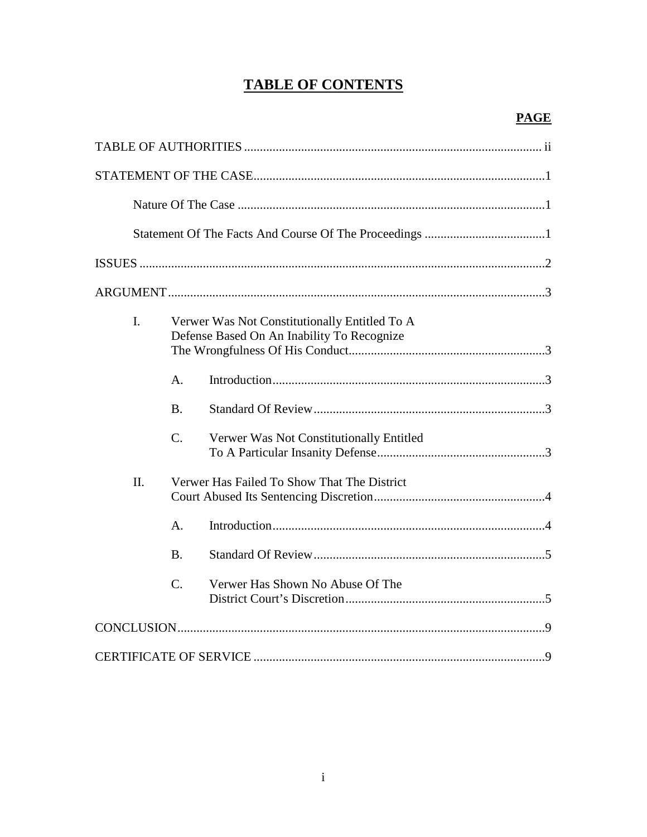## **TABLE OF CONTENTS**

| I.      |                | Verwer Was Not Constitutionally Entitled To A<br>Defense Based On An Inability To Recognize |  |
|---------|----------------|---------------------------------------------------------------------------------------------|--|
|         | A.             |                                                                                             |  |
|         | <b>B.</b>      |                                                                                             |  |
|         | $C$ .          | Verwer Was Not Constitutionally Entitled                                                    |  |
| $\Pi$ . |                | Verwer Has Failed To Show That The District                                                 |  |
|         | $\mathbf{A}$ . |                                                                                             |  |
|         | <b>B.</b>      |                                                                                             |  |
|         | $C$ .          | Verwer Has Shown No Abuse Of The                                                            |  |
|         |                |                                                                                             |  |
|         |                |                                                                                             |  |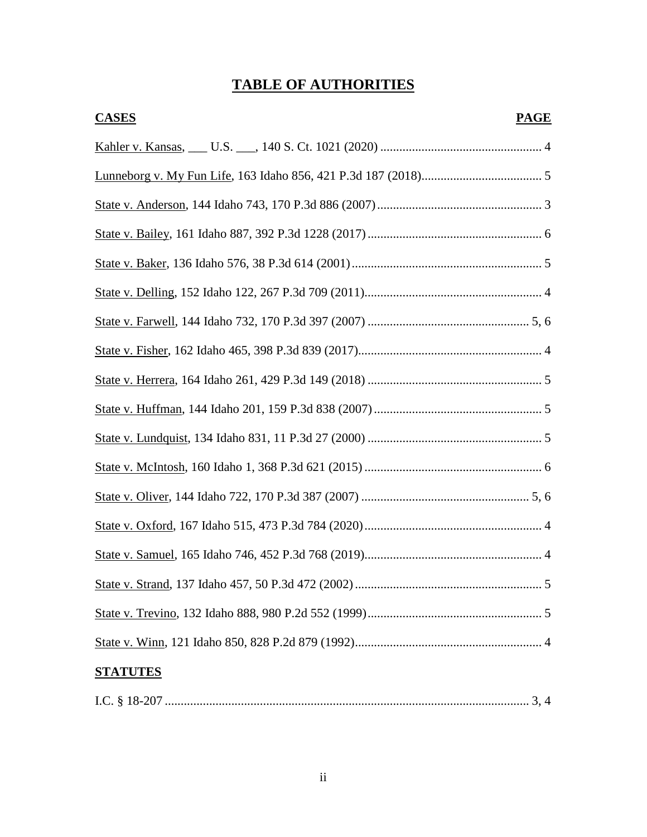## **TABLE OF AUTHORITIES**

| <b>CASES</b><br><b>PAGE</b> |  |  |  |
|-----------------------------|--|--|--|
|                             |  |  |  |
|                             |  |  |  |
|                             |  |  |  |
|                             |  |  |  |
|                             |  |  |  |
|                             |  |  |  |
|                             |  |  |  |
|                             |  |  |  |
|                             |  |  |  |
|                             |  |  |  |
|                             |  |  |  |
|                             |  |  |  |
|                             |  |  |  |
|                             |  |  |  |
|                             |  |  |  |
|                             |  |  |  |
|                             |  |  |  |
|                             |  |  |  |
| <b>STATUTES</b>             |  |  |  |
|                             |  |  |  |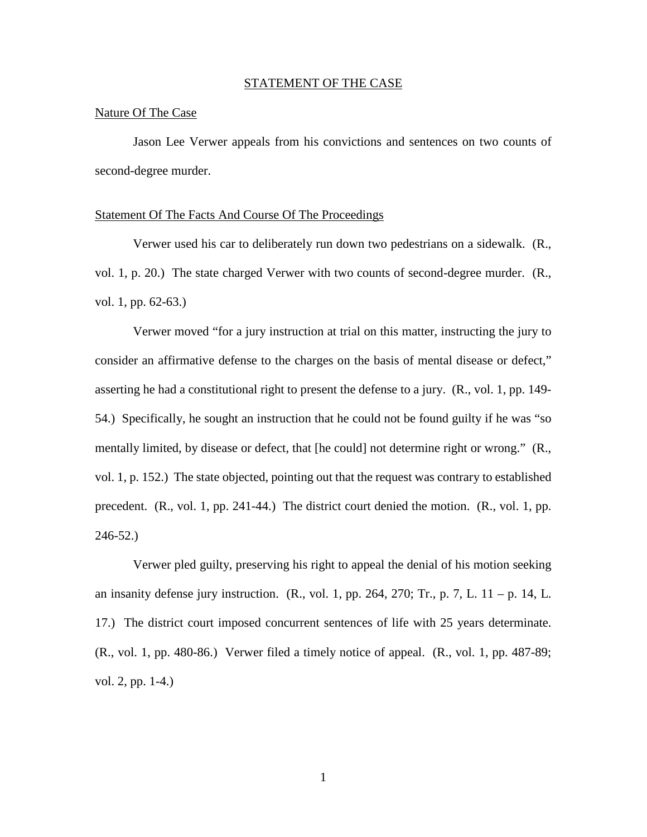#### STATEMENT OF THE CASE

#### Nature Of The Case

Jason Lee Verwer appeals from his convictions and sentences on two counts of second-degree murder.

#### Statement Of The Facts And Course Of The Proceedings

Verwer used his car to deliberately run down two pedestrians on a sidewalk. (R., vol. 1, p. 20.) The state charged Verwer with two counts of second-degree murder. (R., vol. 1, pp. 62-63.)

Verwer moved "for a jury instruction at trial on this matter, instructing the jury to consider an affirmative defense to the charges on the basis of mental disease or defect," asserting he had a constitutional right to present the defense to a jury. (R., vol. 1, pp. 149- 54.) Specifically, he sought an instruction that he could not be found guilty if he was "so mentally limited, by disease or defect, that [he could] not determine right or wrong." (R., vol. 1, p. 152.) The state objected, pointing out that the request was contrary to established precedent. (R., vol. 1, pp. 241-44.) The district court denied the motion. (R., vol. 1, pp. 246-52.)

Verwer pled guilty, preserving his right to appeal the denial of his motion seeking an insanity defense jury instruction.  $(R., vol. 1, pp. 264, 270; Tr., p. 7, L. 11 - p. 14, L.$ 17.) The district court imposed concurrent sentences of life with 25 years determinate. (R., vol. 1, pp. 480-86.) Verwer filed a timely notice of appeal. (R., vol. 1, pp. 487-89; vol. 2, pp. 1-4.)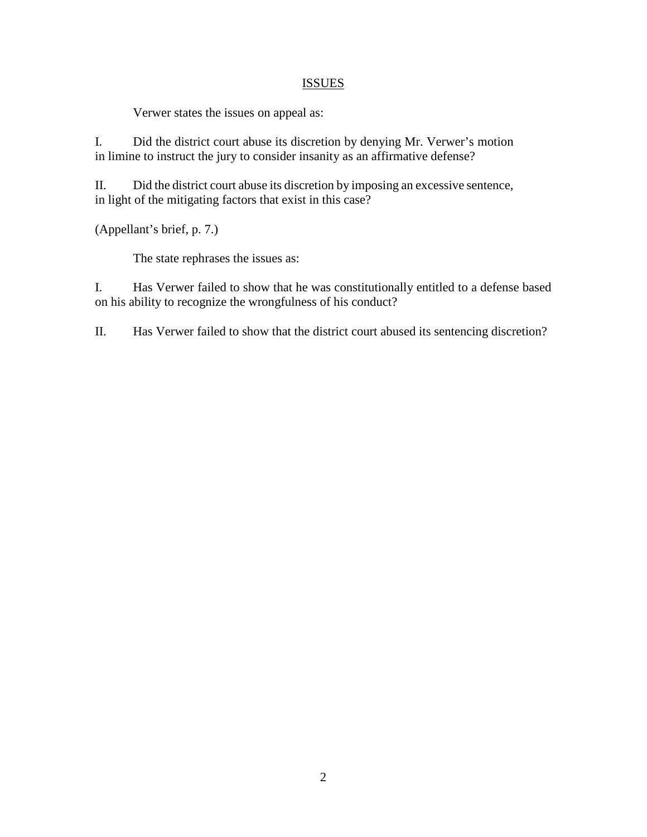## **ISSUES**

Verwer states the issues on appeal as:

I. Did the district court abuse its discretion by denying Mr. Verwer's motion in limine to instruct the jury to consider insanity as an affirmative defense?

II. Did the district court abuse its discretion by imposing an excessive sentence, in light of the mitigating factors that exist in this case?

(Appellant's brief, p. 7.)

The state rephrases the issues as:

I. Has Verwer failed to show that he was constitutionally entitled to a defense based on his ability to recognize the wrongfulness of his conduct?

II. Has Verwer failed to show that the district court abused its sentencing discretion?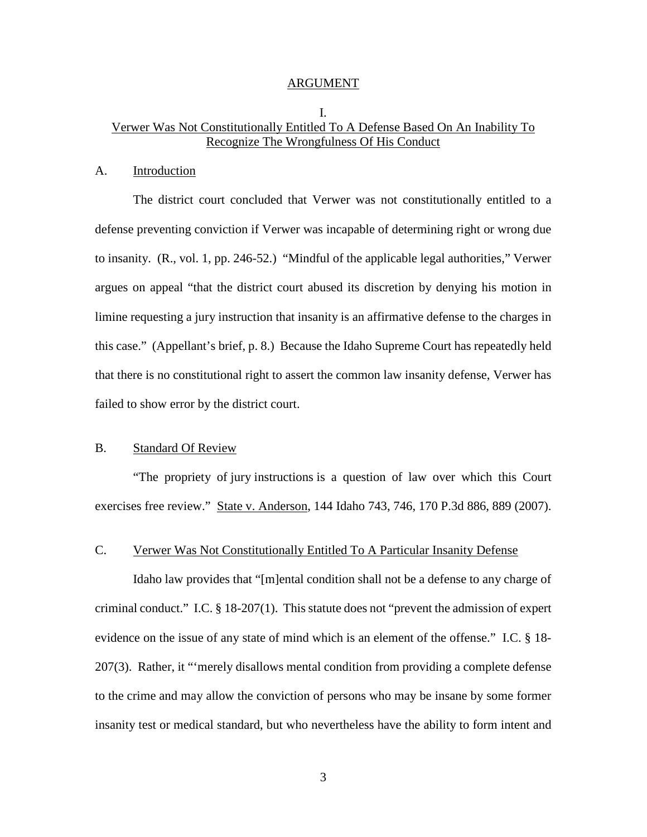#### ARGUMENT

## I. Verwer Was Not Constitutionally Entitled To A Defense Based On An Inability To Recognize The Wrongfulness Of His Conduct

#### A. Introduction

The district court concluded that Verwer was not constitutionally entitled to a defense preventing conviction if Verwer was incapable of determining right or wrong due to insanity. (R., vol. 1, pp. 246-52.) "Mindful of the applicable legal authorities," Verwer argues on appeal "that the district court abused its discretion by denying his motion in limine requesting a jury instruction that insanity is an affirmative defense to the charges in this case." (Appellant's brief, p. 8.) Because the Idaho Supreme Court has repeatedly held that there is no constitutional right to assert the common law insanity defense, Verwer has failed to show error by the district court.

## B. Standard Of Review

 "The propriety of jury instructions is a question of law over which this Court exercises free review." State v. Anderson, 144 Idaho 743, 746, 170 P.3d 886, 889 (2007).

## C. Verwer Was Not Constitutionally Entitled To A Particular Insanity Defense

Idaho law provides that "[m]ental condition shall not be a defense to any charge of criminal conduct." I.C. § 18-207(1). This statute does not "prevent the admission of expert evidence on the issue of any state of mind which is an element of the offense." I.C. § 18- 207(3). Rather, it "'merely disallows mental condition from providing a complete defense to the crime and may allow the conviction of persons who may be insane by some former insanity test or medical standard, but who nevertheless have the ability to form intent and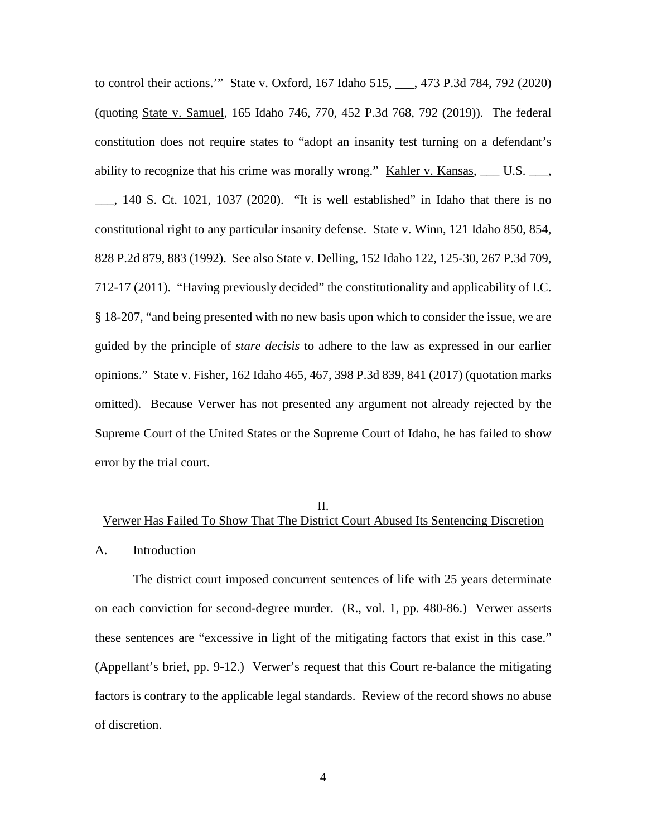to control their actions.'" State v. Oxford, 167 Idaho 515, \_\_\_, 473 P.3d 784, 792 (2020) (quoting State v. Samuel, 165 Idaho 746, 770, 452 P.3d 768, 792 (2019)). The federal constitution does not require states to "adopt an insanity test turning on a defendant's ability to recognize that his crime was morally wrong." Kahler v. Kansas,  $\_\_\_\_$  U.S.  $\_\_\_\$ \_\_\_, 140 S. Ct. 1021, 1037 (2020). "It is well established" in Idaho that there is no constitutional right to any particular insanity defense. State v. Winn, 121 Idaho 850, 854, 828 P.2d 879, 883 (1992). See also State v. Delling, 152 Idaho 122, 125-30, 267 P.3d 709, 712-17 (2011). "Having previously decided" the constitutionality and applicability of I.C. § 18-207, "and being presented with no new basis upon which to consider the issue, we are guided by the principle of *stare decisis* to adhere to the law as expressed in our earlier opinions." State v. Fisher, 162 Idaho 465, 467, 398 P.3d 839, 841 (2017) (quotation marks omitted). Because Verwer has not presented any argument not already rejected by the Supreme Court of the United States or the Supreme Court of Idaho, he has failed to show error by the trial court.

#### II.

# Verwer Has Failed To Show That The District Court Abused Its Sentencing Discretion A. Introduction

The district court imposed concurrent sentences of life with 25 years determinate on each conviction for second-degree murder. (R., vol. 1, pp. 480-86.) Verwer asserts these sentences are "excessive in light of the mitigating factors that exist in this case." (Appellant's brief, pp. 9-12.) Verwer's request that this Court re-balance the mitigating factors is contrary to the applicable legal standards. Review of the record shows no abuse of discretion.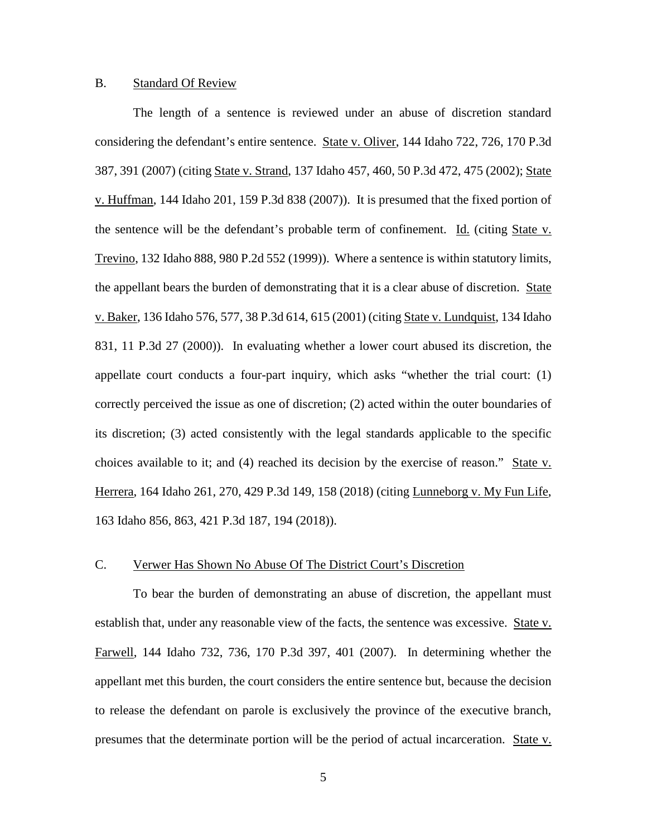### B. Standard Of Review

The length of a sentence is reviewed under an abuse of discretion standard considering the defendant's entire sentence. State v. Oliver, 144 Idaho 722, 726, 170 P.3d 387, 391 (2007) (citing State v. Strand, 137 Idaho 457, 460, 50 P.3d 472, 475 (2002); State v. Huffman, 144 Idaho 201, 159 P.3d 838 (2007)). It is presumed that the fixed portion of the sentence will be the defendant's probable term of confinement. Id. (citing State v. Trevino, 132 Idaho 888, 980 P.2d 552 (1999)). Where a sentence is within statutory limits, the appellant bears the burden of demonstrating that it is a clear abuse of discretion. State v. Baker, 136 Idaho 576, 577, 38 P.3d 614, 615 (2001) (citing State v. Lundquist, 134 Idaho 831, 11 P.3d 27 (2000)). In evaluating whether a lower court abused its discretion, the appellate court conducts a four-part inquiry, which asks "whether the trial court: (1) correctly perceived the issue as one of discretion; (2) acted within the outer boundaries of its discretion; (3) acted consistently with the legal standards applicable to the specific choices available to it; and (4) reached its decision by the exercise of reason." State v. Herrera, 164 Idaho 261, 270, 429 P.3d 149, 158 (2018) (citing Lunneborg v. My Fun Life, 163 Idaho 856, 863, 421 P.3d 187, 194 (2018)).

## C. Verwer Has Shown No Abuse Of The District Court's Discretion

To bear the burden of demonstrating an abuse of discretion, the appellant must establish that, under any reasonable view of the facts, the sentence was excessive. State v. Farwell, 144 Idaho 732, 736, 170 P.3d 397, 401 (2007). In determining whether the appellant met this burden, the court considers the entire sentence but, because the decision to release the defendant on parole is exclusively the province of the executive branch, presumes that the determinate portion will be the period of actual incarceration. State v.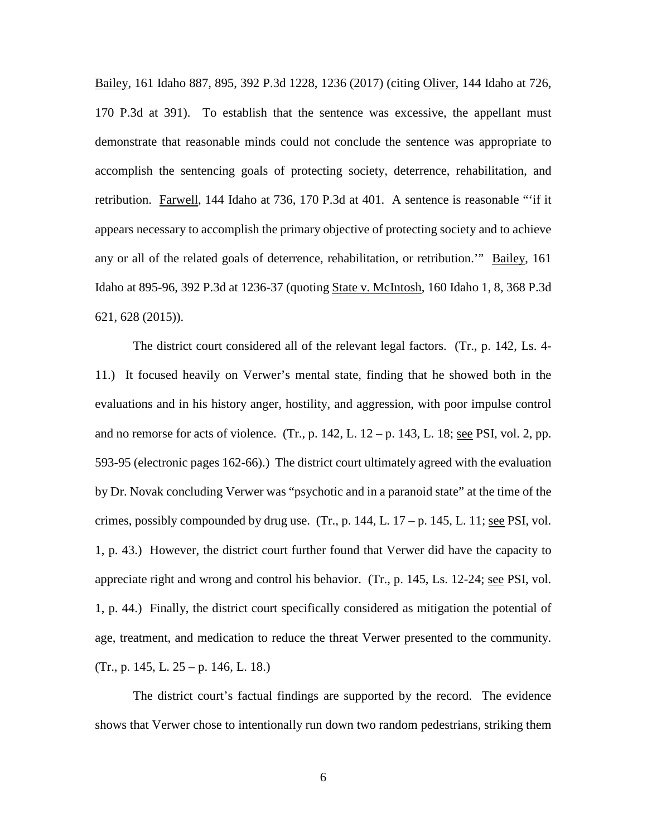Bailey, 161 Idaho 887, 895, 392 P.3d 1228, 1236 (2017) (citing Oliver, 144 Idaho at 726, 170 P.3d at 391). To establish that the sentence was excessive, the appellant must demonstrate that reasonable minds could not conclude the sentence was appropriate to accomplish the sentencing goals of protecting society, deterrence, rehabilitation, and retribution. Farwell, 144 Idaho at 736, 170 P.3d at 401. A sentence is reasonable "'if it appears necessary to accomplish the primary objective of protecting society and to achieve any or all of the related goals of deterrence, rehabilitation, or retribution.'" Bailey, 161 Idaho at 895-96, 392 P.3d at 1236-37 (quoting State v. McIntosh, 160 Idaho 1, 8, 368 P.3d 621, 628 (2015)).

The district court considered all of the relevant legal factors. (Tr., p. 142, Ls. 4- 11.) It focused heavily on Verwer's mental state, finding that he showed both in the evaluations and in his history anger, hostility, and aggression, with poor impulse control and no remorse for acts of violence. (Tr., p.  $142$ , L.  $12 - p$ .  $143$ , L.  $18$ ; <u>see PSI</u>, vol. 2, pp. 593-95 (electronic pages 162-66).) The district court ultimately agreed with the evaluation by Dr. Novak concluding Verwer was "psychotic and in a paranoid state" at the time of the crimes, possibly compounded by drug use. (Tr., p. 144, L.  $17 - p$ . 145, L. 11; see PSI, vol. 1, p. 43.) However, the district court further found that Verwer did have the capacity to appreciate right and wrong and control his behavior. (Tr., p. 145, Ls. 12-24; see PSI, vol. 1, p. 44.) Finally, the district court specifically considered as mitigation the potential of age, treatment, and medication to reduce the threat Verwer presented to the community.  $(Tr., p. 145, L. 25 - p. 146, L. 18.)$ 

The district court's factual findings are supported by the record. The evidence shows that Verwer chose to intentionally run down two random pedestrians, striking them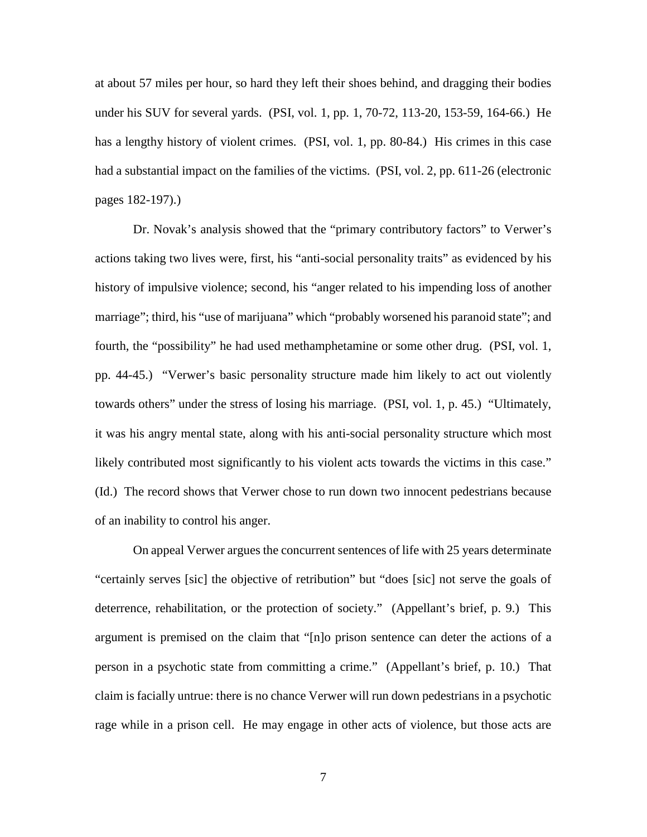at about 57 miles per hour, so hard they left their shoes behind, and dragging their bodies under his SUV for several yards. (PSI, vol. 1, pp. 1, 70-72, 113-20, 153-59, 164-66.) He has a lengthy history of violent crimes. (PSI, vol. 1, pp. 80-84.) His crimes in this case had a substantial impact on the families of the victims. (PSI, vol. 2, pp. 611-26 (electronic pages 182-197).)

Dr. Novak's analysis showed that the "primary contributory factors" to Verwer's actions taking two lives were, first, his "anti-social personality traits" as evidenced by his history of impulsive violence; second, his "anger related to his impending loss of another marriage"; third, his "use of marijuana" which "probably worsened his paranoid state"; and fourth, the "possibility" he had used methamphetamine or some other drug. (PSI, vol. 1, pp. 44-45.) "Verwer's basic personality structure made him likely to act out violently towards others" under the stress of losing his marriage. (PSI, vol. 1, p. 45.) "Ultimately, it was his angry mental state, along with his anti-social personality structure which most likely contributed most significantly to his violent acts towards the victims in this case." (Id.) The record shows that Verwer chose to run down two innocent pedestrians because of an inability to control his anger.

On appeal Verwer argues the concurrent sentences of life with 25 years determinate "certainly serves [sic] the objective of retribution" but "does [sic] not serve the goals of deterrence, rehabilitation, or the protection of society." (Appellant's brief, p. 9.) This argument is premised on the claim that "[n]o prison sentence can deter the actions of a person in a psychotic state from committing a crime." (Appellant's brief, p. 10.) That claim is facially untrue: there is no chance Verwer will run down pedestrians in a psychotic rage while in a prison cell. He may engage in other acts of violence, but those acts are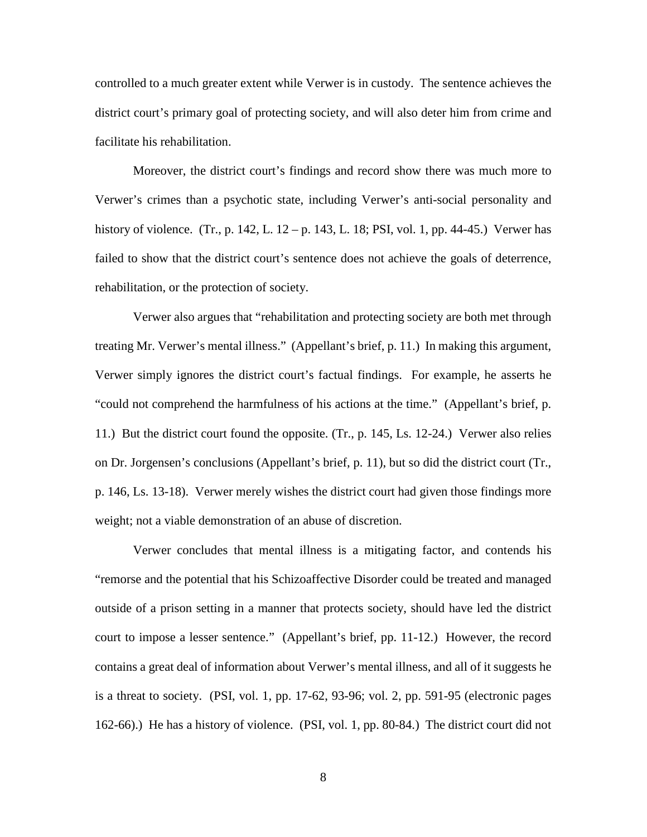controlled to a much greater extent while Verwer is in custody. The sentence achieves the district court's primary goal of protecting society, and will also deter him from crime and facilitate his rehabilitation.

 Moreover, the district court's findings and record show there was much more to Verwer's crimes than a psychotic state, including Verwer's anti-social personality and history of violence. (Tr., p. 142, L. 12 – p. 143, L. 18; PSI, vol. 1, pp. 44-45.) Verwer has failed to show that the district court's sentence does not achieve the goals of deterrence, rehabilitation, or the protection of society.

Verwer also argues that "rehabilitation and protecting society are both met through treating Mr. Verwer's mental illness." (Appellant's brief, p. 11.) In making this argument, Verwer simply ignores the district court's factual findings. For example, he asserts he "could not comprehend the harmfulness of his actions at the time." (Appellant's brief, p. 11.) But the district court found the opposite. (Tr., p. 145, Ls. 12-24.) Verwer also relies on Dr. Jorgensen's conclusions (Appellant's brief, p. 11), but so did the district court (Tr., p. 146, Ls. 13-18). Verwer merely wishes the district court had given those findings more weight; not a viable demonstration of an abuse of discretion.

Verwer concludes that mental illness is a mitigating factor, and contends his "remorse and the potential that his Schizoaffective Disorder could be treated and managed outside of a prison setting in a manner that protects society, should have led the district court to impose a lesser sentence." (Appellant's brief, pp. 11-12.) However, the record contains a great deal of information about Verwer's mental illness, and all of it suggests he is a threat to society. (PSI, vol. 1, pp. 17-62, 93-96; vol. 2, pp. 591-95 (electronic pages 162-66).) He has a history of violence. (PSI, vol. 1, pp. 80-84.) The district court did not